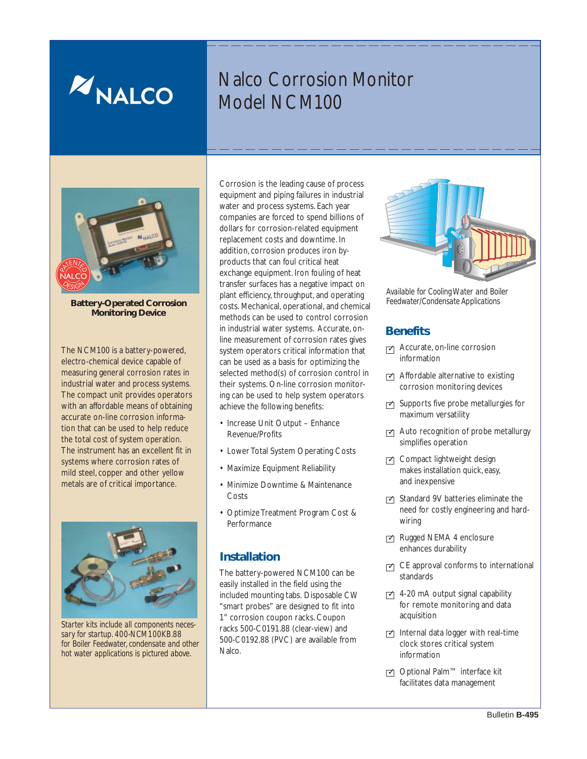

# Nalco Corrosion Monitor Model NCM100



**Battery-Operated Corrosion Monitoring Device**

The NCM100 is a battery-powered, electro-chemical device capable of measuring general corrosion rates in industrial water and process systems. The compact unit provides operators with an affordable means of obtaining accurate on-line corrosion information that can be used to help reduce the total cost of system operation. The instrument has an excellent fit in systems where corrosion rates of mild steel, copper and other yellow metals are of critical importance.



*Starter kits include all components necessary for startup. 400-NCM100KB.88 for Boiler Feedwater, condensate and other hot water applications is pictured above.*

Corrosion is the leading cause of process equipment and piping failures in industrial water and process systems. Each year companies are forced to spend billions of dollars for corrosion-related equipment replacement costs and downtime. In addition, corrosion produces iron byproducts that can foul critical heat exchange equipment. Iron fouling of heat transfer surfaces has a negative impact on plant efficiency, throughput, and operating costs. Mechanical, operational, and chemical methods can be used to control corrosion in industrial water systems. Accurate, online measurement of corrosion rates gives system operators critical information that can be used as a basis for optimizing the selected method(s) of corrosion control in their systems. On-line corrosion monitoring can be used to help system operators achieve the following benefits:

- Increase Unit Output Enhance Revenue/Profits
- Lower Total System Operating Costs
- Maximize Equipment Reliability
- Minimize Downtime & Maintenance Costs
- Optimize Treatment Program Cost & Performance

## **Installation**

The battery-powered NCM100 can be easily installed in the field using the included mounting tabs. Disposable CW "smart probes" are designed to fit into 1" corrosion coupon racks. Coupon racks 500-C0191.88 (clear-view) and 500-C0192.88 (PVC) are available from Nalco.



*Available for Cooling Water and Boiler Feedwater/Condensate Applications*

## **Benefits**

- Accurate, on-line corrosion ✓ information
- **△** Affordable alternative to existing corrosion monitoring devices
- **○** Supports five probe metallurgies for maximum versatility
- **⊿** Auto recognition of probe metallurgy simplifies operation
- Compact lightweight design makes installation quick, easy, and inexpensive
- **○** Standard 9V batteries eliminate the need for costly engineering and hardwiring
- Rugged NEMA 4 enclosure enhances durability
- **○** CE approval conforms to international standards
- **○** 4-20 mA output signal capability for remote monitoring and data acquisition
- Internal data logger with real-time clock stores critical system information
- optional Palm<sup>™</sup> interface kit facilitates data management